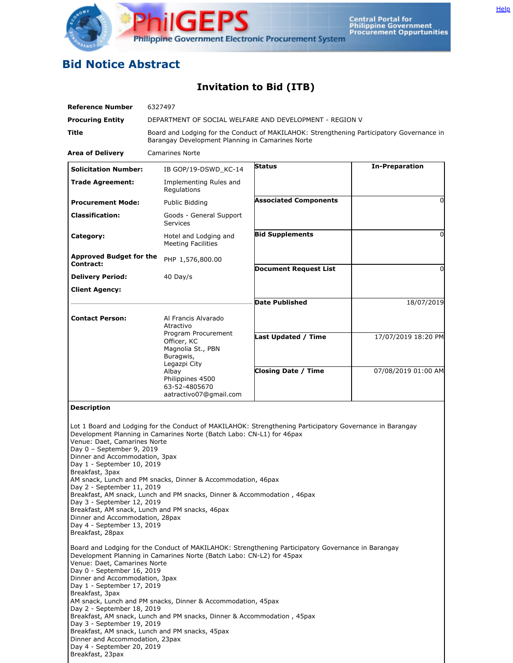

## **Bid Notice Abstract**

## **Invitation to Bid (ITB)**

| <b>Reference Number</b>                                       | 6327497                                                                 |                                                                                                          |                       |  |
|---------------------------------------------------------------|-------------------------------------------------------------------------|----------------------------------------------------------------------------------------------------------|-----------------------|--|
| <b>Procuring Entity</b>                                       |                                                                         | DEPARTMENT OF SOCIAL WELFARE AND DEVELOPMENT - REGION V                                                  |                       |  |
| Title                                                         | Barangay Development Planning in Camarines Norte                        | Board and Lodging for the Conduct of MAKILAHOK: Strengthening Participatory Governance in                |                       |  |
| <b>Area of Delivery</b>                                       | <b>Camarines Norte</b>                                                  |                                                                                                          |                       |  |
| <b>Solicitation Number:</b>                                   | IB GOP/19-DSWD_KC-14                                                    | <b>Status</b>                                                                                            | <b>In-Preparation</b> |  |
| <b>Trade Agreement:</b>                                       | Implementing Rules and<br>Regulations                                   |                                                                                                          |                       |  |
| <b>Procurement Mode:</b>                                      | Public Bidding                                                          | <b>Associated Components</b>                                                                             | $\Omega$              |  |
| <b>Classification:</b>                                        | Goods - General Support<br><b>Services</b>                              |                                                                                                          |                       |  |
| Category:                                                     | Hotel and Lodging and<br><b>Meeting Facilities</b>                      | <b>Bid Supplements</b>                                                                                   | 0                     |  |
| <b>Approved Budget for the</b>                                | PHP 1,576,800.00                                                        |                                                                                                          |                       |  |
| Contract:                                                     |                                                                         | <b>Document Request List</b>                                                                             | $\Omega$              |  |
| <b>Delivery Period:</b>                                       | 40 Day/s                                                                |                                                                                                          |                       |  |
| Client Agency:                                                |                                                                         |                                                                                                          |                       |  |
|                                                               |                                                                         | <b>Date Published</b>                                                                                    | 18/07/2019            |  |
| <b>Contact Person:</b>                                        | Al Francis Alvarado<br>Atractivo                                        |                                                                                                          |                       |  |
|                                                               | Program Procurement<br>Officer, KC                                      | <b>Last Updated / Time</b>                                                                               | 17/07/2019 18:20 PM   |  |
|                                                               | Magnolia St., PBN                                                       |                                                                                                          |                       |  |
|                                                               | Buragwis,<br>Legazpi City                                               |                                                                                                          |                       |  |
|                                                               | Albay<br>Philippines 4500                                               | <b>Closing Date / Time</b>                                                                               | 07/08/2019 01:00 AM   |  |
|                                                               | 63-52-4805670<br>aatractivo07@gmail.com                                 |                                                                                                          |                       |  |
|                                                               |                                                                         |                                                                                                          |                       |  |
| <b>Description</b>                                            |                                                                         |                                                                                                          |                       |  |
|                                                               | Development Planning in Camarines Norte (Batch Labo: CN-L1) for 46pax   | Lot 1 Board and Lodging for the Conduct of MAKILAHOK: Strengthening Participatory Governance in Barangay |                       |  |
| Venue: Daet, Camarines Norte                                  |                                                                         |                                                                                                          |                       |  |
| Day 0 - September 9, 2019<br>Dinner and Accommodation, 3pax   |                                                                         |                                                                                                          |                       |  |
| Day 1 - September 10, 2019<br>Breakfast, 3pax                 |                                                                         |                                                                                                          |                       |  |
|                                                               | AM snack, Lunch and PM snacks, Dinner & Accommodation, 46pax            |                                                                                                          |                       |  |
| Day 2 - September 11, 2019                                    | Breakfast, AM snack, Lunch and PM snacks, Dinner & Accommodation, 46pax |                                                                                                          |                       |  |
| Day 3 - September 12, 2019                                    | Breakfast, AM snack, Lunch and PM snacks, 46pax                         |                                                                                                          |                       |  |
| Dinner and Accommodation, 28pax<br>Day 4 - September 13, 2019 |                                                                         |                                                                                                          |                       |  |
| Breakfast, 28pax                                              |                                                                         |                                                                                                          |                       |  |
|                                                               | Development Planning in Camarines Norte (Batch Labo: CN-L2) for 45pax   | Board and Lodging for the Conduct of MAKILAHOK: Strengthening Participatory Governance in Barangay       |                       |  |
| Venue: Daet, Camarines Norte<br>Day 0 - September 16, 2019    |                                                                         |                                                                                                          |                       |  |
| Dinner and Accommodation, 3pax                                |                                                                         |                                                                                                          |                       |  |
| Day 1 - September 17, 2019<br>Breakfast, 3pax                 |                                                                         |                                                                                                          |                       |  |
| Day 2 - September 18, 2019                                    | AM snack, Lunch and PM snacks, Dinner & Accommodation, 45pax            |                                                                                                          |                       |  |
| Day 3 - September 19, 2019                                    | Breakfast, AM snack, Lunch and PM snacks, Dinner & Accommodation, 45pax |                                                                                                          |                       |  |
|                                                               | Breakfast, AM snack, Lunch and PM snacks, 45pax                         |                                                                                                          |                       |  |
| Dinner and Accommodation, 23pax<br>Day 4 - September 20, 2019 |                                                                         |                                                                                                          |                       |  |
| Breakfast, 23pax                                              |                                                                         |                                                                                                          |                       |  |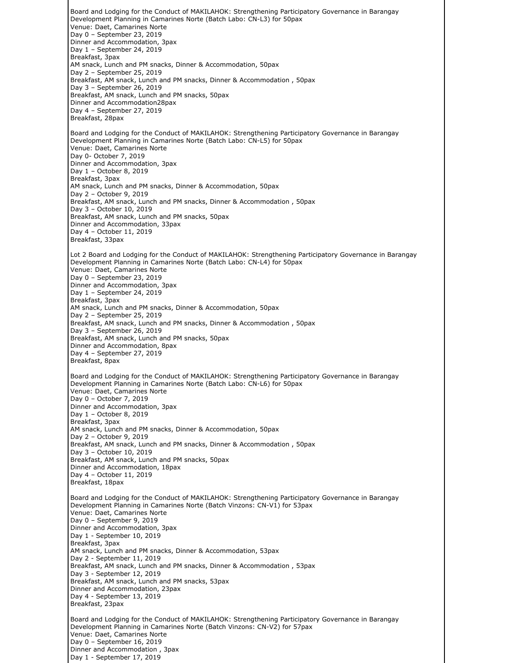Board and Lodging for the Conduct of MAKILAHOK: Strengthening Participatory Governance in Barangay Development Planning in Camarines Norte (Batch Labo: CN-L3) for 50pax Venue: Daet, Camarines Norte Day 0 – September 23, 2019 Dinner and Accommodation, 3pax Day 1 – September 24, 2019 Breakfast, 3pax AM snack, Lunch and PM snacks, Dinner & Accommodation, 50pax Day 2 – September 25, 2019 Breakfast, AM snack, Lunch and PM snacks, Dinner & Accommodation , 50pax Day 3 – September 26, 2019 Breakfast, AM snack, Lunch and PM snacks, 50pax Dinner and Accommodation28pax Day 4 – September 27, 2019 Breakfast, 28pax Board and Lodging for the Conduct of MAKILAHOK: Strengthening Participatory Governance in Barangay Development Planning in Camarines Norte (Batch Labo: CN-L5) for 50pax Venue: Daet, Camarines Norte Day 0- October 7, 2019 Dinner and Accommodation, 3pax Day 1 – October 8, 2019 Breakfast, 3pax AM snack, Lunch and PM snacks, Dinner & Accommodation, 50pax Day 2 – October 9, 2019 Breakfast, AM snack, Lunch and PM snacks, Dinner & Accommodation , 50pax Day 3 – October 10, 2019 Breakfast, AM snack, Lunch and PM snacks, 50pax Dinner and Accommodation, 33pax Day 4 – October 11, 2019 Breakfast, 33pax Lot 2 Board and Lodging for the Conduct of MAKILAHOK: Strengthening Participatory Governance in Barangay Development Planning in Camarines Norte (Batch Labo: CN-L4) for 50pax Venue: Daet, Camarines Norte Day 0 – September 23, 2019 Dinner and Accommodation, 3pax Day 1 – September 24, 2019 Breakfast, 3pax AM snack, Lunch and PM snacks, Dinner & Accommodation, 50pax Day 2 – September 25, 2019 Breakfast, AM snack, Lunch and PM snacks, Dinner & Accommodation , 50pax Day 3 – September 26, 2019 Breakfast, AM snack, Lunch and PM snacks, 50pax Dinner and Accommodation, 8pax Day 4 – September 27, 2019 Breakfast, 8pax Board and Lodging for the Conduct of MAKILAHOK: Strengthening Participatory Governance in Barangay Development Planning in Camarines Norte (Batch Labo: CN-L6) for 50pax Venue: Daet, Camarines Norte Day 0 – October 7, 2019 Dinner and Accommodation, 3pax Day 1 – October 8, 2019 Breakfast, 3pax AM snack, Lunch and PM snacks, Dinner & Accommodation, 50pax Day 2 – October 9, 2019 Breakfast, AM snack, Lunch and PM snacks, Dinner & Accommodation , 50pax Day 3 – October 10, 2019 Breakfast, AM snack, Lunch and PM snacks, 50pax Dinner and Accommodation, 18pax Day 4 – October 11, 2019 Breakfast, 18pax Board and Lodging for the Conduct of MAKILAHOK: Strengthening Participatory Governance in Barangay Development Planning in Camarines Norte (Batch Vinzons: CN-V1) for 53pax Venue: Daet, Camarines Norte Day 0 – September 9, 2019 Dinner and Accommodation, 3pax Day 1 - September 10, 2019 Breakfast, 3pax AM snack, Lunch and PM snacks, Dinner & Accommodation, 53pax Day 2 - September 11, 2019 Breakfast, AM snack, Lunch and PM snacks, Dinner & Accommodation , 53pax Day 3 - September 12, 2019 Breakfast, AM snack, Lunch and PM snacks, 53pax Dinner and Accommodation, 23pax Day 4 - September 13, 2019 Breakfast, 23pax Board and Lodging for the Conduct of MAKILAHOK: Strengthening Participatory Governance in Barangay Development Planning in Camarines Norte (Batch Vinzons: CN-V2) for 57pax Venue: Daet, Camarines Norte Day 0 – September 16, 2019 Dinner and Accommodation , 3pax Day 1 - September 17, 2019